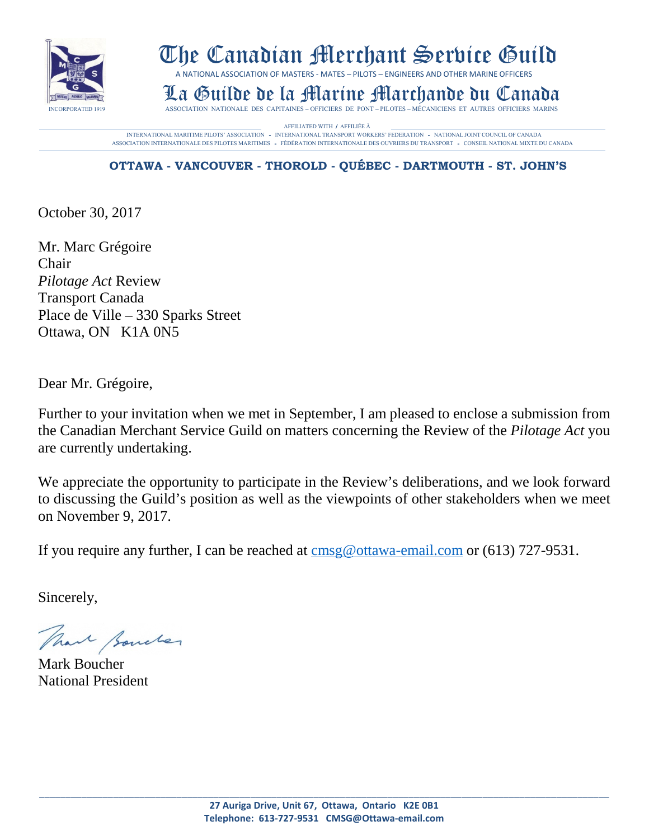

# The Canadian Merchant Service Guild

A NATIONAL ASSOCIATION OF MASTERS - MATES – PILOTS – ENGINEERS AND OTHER MARINE OFFICERS

La Guilde de la Martine Marchande Des Capitaines – Officiers de PONT – PILOTES – MÉCANICIENS ET AUTRES OFFICIERS MARINS

AFFILIATED WITH / AFFILIÉE À MERIAN EN ENTRAÎNE PLOTS' ASSOCIATION - INTERNATIONAL MARITIME PILOTS' ASSOCIATION - INTERNATIONAL TRANSPORT WORKERS' FEDERATION - NATIONAL JOINT COUNCIL OF CANADA ASSOCIATION INTERNATIONALE DES PILOTES MARITIMES - FÈDÉRATION INTERNATIONALE DES OUVRIERS DU TRANSPORT - CONSEIL NATIONAL MIXTE DU CANADA

# **OTTAWA - VANCOUVER - THOROLD - QUÉBEC - DARTMOUTH - ST. JOHN'S**

October 30, 2017

Mr. Marc Grégoire Chair *Pilotage Act* Review Transport Canada Place de Ville – 330 Sparks Street Ottawa, ON K1A 0N5

Dear Mr. Grégoire,

Further to your invitation when we met in September, I am pleased to enclose a submission from the Canadian Merchant Service Guild on matters concerning the Review of the *Pilotage Act* you are currently undertaking.

We appreciate the opportunity to participate in the Review's deliberations, and we look forward to discussing the Guild's position as well as the viewpoints of other stakeholders when we meet on November 9, 2017.

If you require any further, I can be reached at [cmsg@ottawa-email.com](mailto:cmsg@ottawa-email.com) or (613) 727-9531.

Sincerely,

That formeler

Mark Boucher National President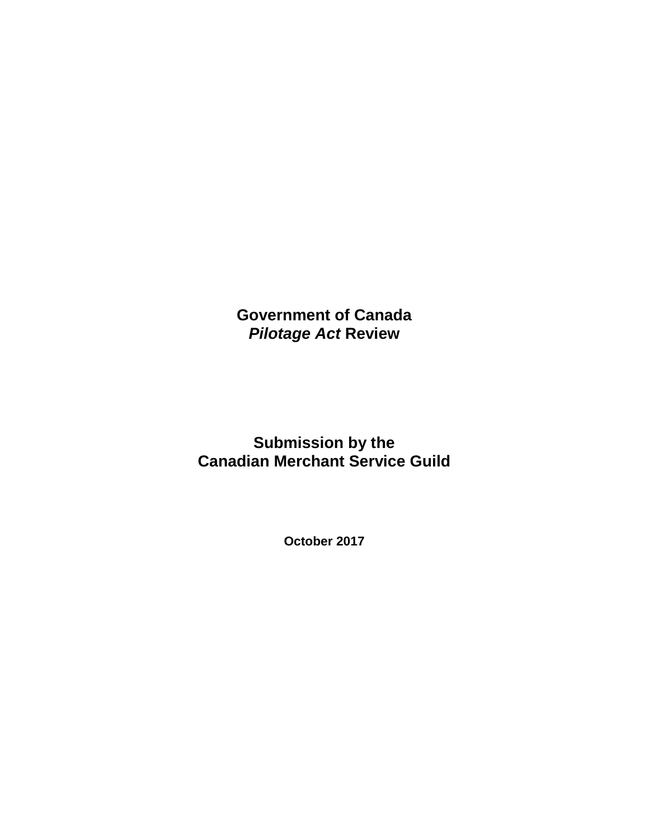**Government of Canada** *Pilotage Act* **Review**

**Submission by the Canadian Merchant Service Guild**

**October 2017**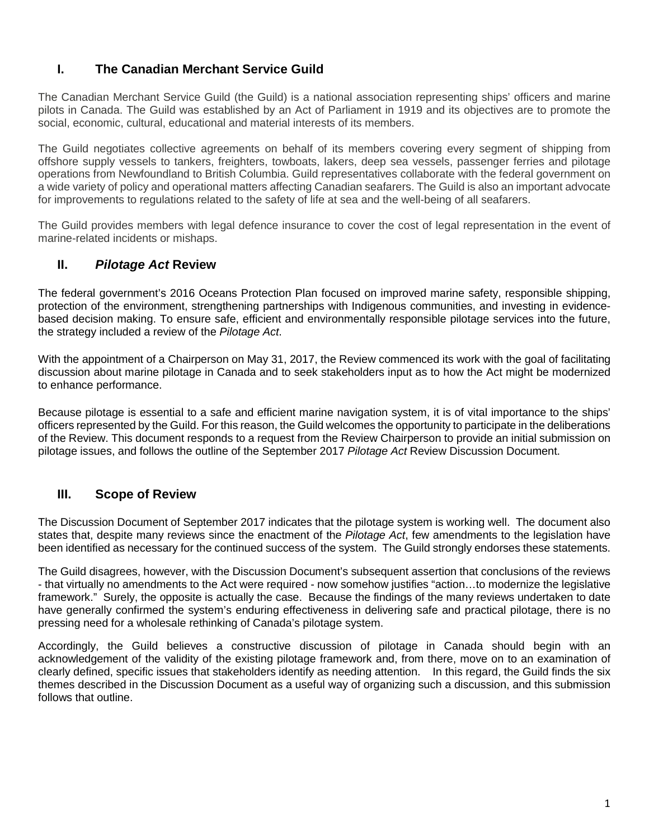# **I. The Canadian Merchant Service Guild**

The Canadian Merchant Service Guild (the Guild) is a national association representing ships' officers and marine pilots in Canada. The Guild was established by an Act of Parliament in 1919 and its objectives are to promote the social, economic, cultural, educational and material interests of its members.

The Guild negotiates collective agreements on behalf of its members covering every segment of shipping from offshore supply vessels to tankers, freighters, towboats, lakers, deep sea vessels, passenger ferries and pilotage operations from Newfoundland to British Columbia. Guild representatives collaborate with the federal government on a wide variety of policy and operational matters affecting Canadian seafarers. The Guild is also an important advocate for improvements to regulations related to the safety of life at sea and the well-being of all seafarers.

The Guild provides members with legal defence insurance to cover the cost of legal representation in the event of marine-related incidents or mishaps.

# **II.** *Pilotage Act* **Review**

The federal government's 2016 Oceans Protection Plan focused on improved marine safety, responsible shipping, protection of the environment, strengthening partnerships with Indigenous communities, and investing in evidencebased decision making. To ensure safe, efficient and environmentally responsible pilotage services into the future, the strategy included a review of the *Pilotage Act*.

With the appointment of a Chairperson on May 31, 2017, the Review commenced its work with the goal of facilitating discussion about marine pilotage in Canada and to seek stakeholders input as to how the Act might be modernized to enhance performance.

Because pilotage is essential to a safe and efficient marine navigation system, it is of vital importance to the ships' officers represented by the Guild. For this reason, the Guild welcomes the opportunity to participate in the deliberations of the Review. This document responds to a request from the Review Chairperson to provide an initial submission on pilotage issues, and follows the outline of the September 2017 *Pilotage Act* Review Discussion Document.

# **III. Scope of Review**

The Discussion Document of September 2017 indicates that the pilotage system is working well. The document also states that, despite many reviews since the enactment of the *Pilotage Act*, few amendments to the legislation have been identified as necessary for the continued success of the system. The Guild strongly endorses these statements.

The Guild disagrees, however, with the Discussion Document's subsequent assertion that conclusions of the reviews - that virtually no amendments to the Act were required - now somehow justifies "action…to modernize the legislative framework." Surely, the opposite is actually the case. Because the findings of the many reviews undertaken to date have generally confirmed the system's enduring effectiveness in delivering safe and practical pilotage, there is no pressing need for a wholesale rethinking of Canada's pilotage system.

Accordingly, the Guild believes a constructive discussion of pilotage in Canada should begin with an acknowledgement of the validity of the existing pilotage framework and, from there, move on to an examination of clearly defined, specific issues that stakeholders identify as needing attention. In this regard, the Guild finds the six themes described in the Discussion Document as a useful way of organizing such a discussion, and this submission follows that outline.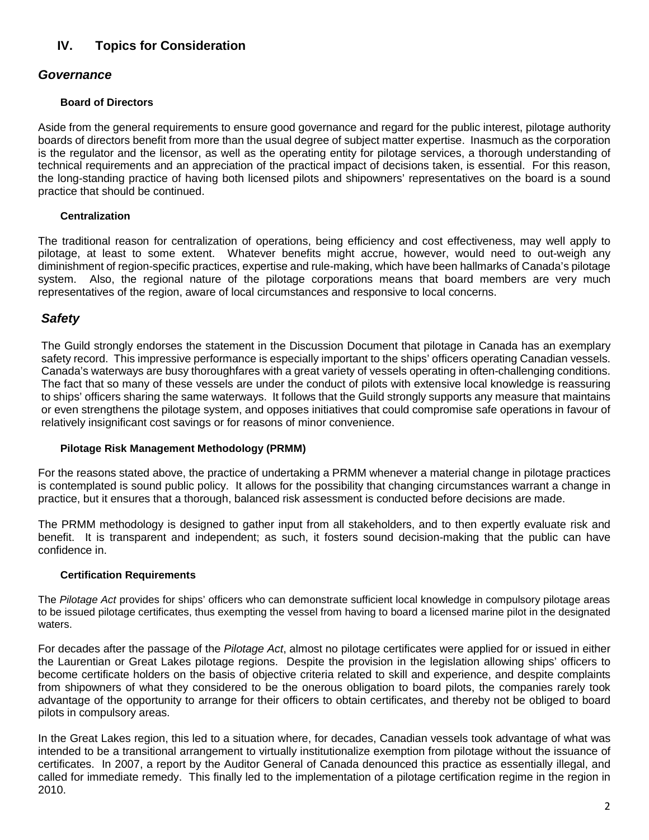# **IV. Topics for Consideration**

## *Governance*

#### **Board of Directors**

Aside from the general requirements to ensure good governance and regard for the public interest, pilotage authority boards of directors benefit from more than the usual degree of subject matter expertise. Inasmuch as the corporation is the regulator and the licensor, as well as the operating entity for pilotage services, a thorough understanding of technical requirements and an appreciation of the practical impact of decisions taken, is essential. For this reason, the long-standing practice of having both licensed pilots and shipowners' representatives on the board is a sound practice that should be continued.

#### **Centralization**

The traditional reason for centralization of operations, being efficiency and cost effectiveness, may well apply to pilotage, at least to some extent. Whatever benefits might accrue, however, would need to out-weigh any diminishment of region-specific practices, expertise and rule-making, which have been hallmarks of Canada's pilotage system. Also, the regional nature of the pilotage corporations means that board members are very much representatives of the region, aware of local circumstances and responsive to local concerns.

### *Safety*

The Guild strongly endorses the statement in the Discussion Document that pilotage in Canada has an exemplary safety record. This impressive performance is especially important to the ships' officers operating Canadian vessels. Canada's waterways are busy thoroughfares with a great variety of vessels operating in often-challenging conditions. The fact that so many of these vessels are under the conduct of pilots with extensive local knowledge is reassuring to ships' officers sharing the same waterways. It follows that the Guild strongly supports any measure that maintains or even strengthens the pilotage system, and opposes initiatives that could compromise safe operations in favour of relatively insignificant cost savings or for reasons of minor convenience.

#### **Pilotage Risk Management Methodology (PRMM)**

For the reasons stated above, the practice of undertaking a PRMM whenever a material change in pilotage practices is contemplated is sound public policy. It allows for the possibility that changing circumstances warrant a change in practice, but it ensures that a thorough, balanced risk assessment is conducted before decisions are made.

The PRMM methodology is designed to gather input from all stakeholders, and to then expertly evaluate risk and benefit. It is transparent and independent; as such, it fosters sound decision-making that the public can have confidence in.

#### **Certification Requirements**

The *Pilotage Act* provides for ships' officers who can demonstrate sufficient local knowledge in compulsory pilotage areas to be issued pilotage certificates, thus exempting the vessel from having to board a licensed marine pilot in the designated waters.

For decades after the passage of the *Pilotage Act*, almost no pilotage certificates were applied for or issued in either the Laurentian or Great Lakes pilotage regions. Despite the provision in the legislation allowing ships' officers to become certificate holders on the basis of objective criteria related to skill and experience, and despite complaints from shipowners of what they considered to be the onerous obligation to board pilots, the companies rarely took advantage of the opportunity to arrange for their officers to obtain certificates, and thereby not be obliged to board pilots in compulsory areas.

In the Great Lakes region, this led to a situation where, for decades, Canadian vessels took advantage of what was intended to be a transitional arrangement to virtually institutionalize exemption from pilotage without the issuance of certificates. In 2007, a report by the Auditor General of Canada denounced this practice as essentially illegal, and called for immediate remedy. This finally led to the implementation of a pilotage certification regime in the region in 2010.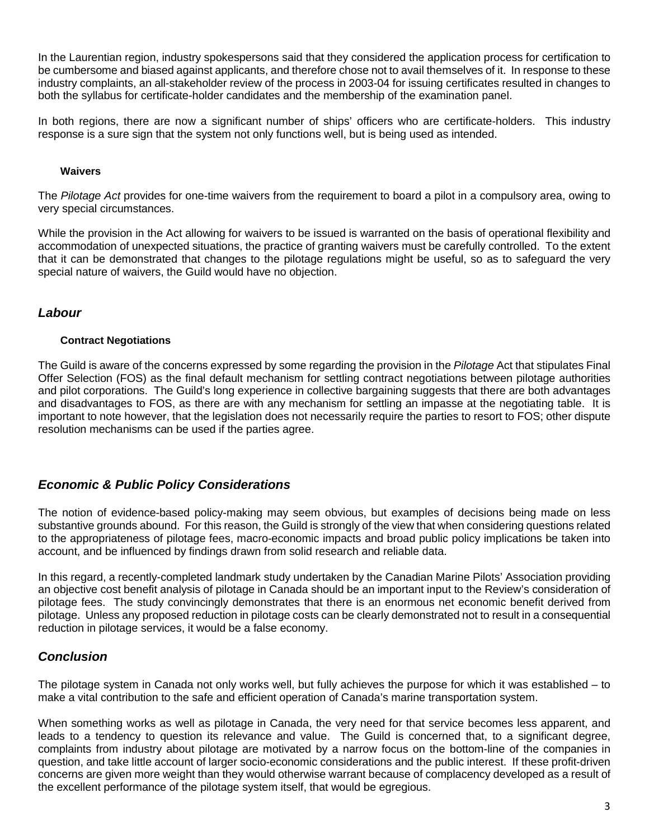In the Laurentian region, industry spokespersons said that they considered the application process for certification to be cumbersome and biased against applicants, and therefore chose not to avail themselves of it. In response to these industry complaints, an all-stakeholder review of the process in 2003-04 for issuing certificates resulted in changes to both the syllabus for certificate-holder candidates and the membership of the examination panel.

In both regions, there are now a significant number of ships' officers who are certificate-holders. This industry response is a sure sign that the system not only functions well, but is being used as intended.

#### **Waivers**

The *Pilotage Act* provides for one-time waivers from the requirement to board a pilot in a compulsory area, owing to very special circumstances.

While the provision in the Act allowing for waivers to be issued is warranted on the basis of operational flexibility and accommodation of unexpected situations, the practice of granting waivers must be carefully controlled. To the extent that it can be demonstrated that changes to the pilotage regulations might be useful, so as to safeguard the very special nature of waivers, the Guild would have no objection.

# *Labour*

#### **Contract Negotiations**

The Guild is aware of the concerns expressed by some regarding the provision in the *Pilotage* Act that stipulates Final Offer Selection (FOS) as the final default mechanism for settling contract negotiations between pilotage authorities and pilot corporations. The Guild's long experience in collective bargaining suggests that there are both advantages and disadvantages to FOS, as there are with any mechanism for settling an impasse at the negotiating table. It is important to note however, that the legislation does not necessarily require the parties to resort to FOS; other dispute resolution mechanisms can be used if the parties agree.

## *Economic & Public Policy Considerations*

The notion of evidence-based policy-making may seem obvious, but examples of decisions being made on less substantive grounds abound. For this reason, the Guild is strongly of the view that when considering questions related to the appropriateness of pilotage fees, macro-economic impacts and broad public policy implications be taken into account, and be influenced by findings drawn from solid research and reliable data.

In this regard, a recently-completed landmark study undertaken by the Canadian Marine Pilots' Association providing an objective cost benefit analysis of pilotage in Canada should be an important input to the Review's consideration of pilotage fees. The study convincingly demonstrates that there is an enormous net economic benefit derived from pilotage. Unless any proposed reduction in pilotage costs can be clearly demonstrated not to result in a consequential reduction in pilotage services, it would be a false economy.

## *Conclusion*

The pilotage system in Canada not only works well, but fully achieves the purpose for which it was established – to make a vital contribution to the safe and efficient operation of Canada's marine transportation system.

When something works as well as pilotage in Canada, the very need for that service becomes less apparent, and leads to a tendency to question its relevance and value. The Guild is concerned that, to a significant degree, complaints from industry about pilotage are motivated by a narrow focus on the bottom-line of the companies in question, and take little account of larger socio-economic considerations and the public interest. If these profit-driven concerns are given more weight than they would otherwise warrant because of complacency developed as a result of the excellent performance of the pilotage system itself, that would be egregious.